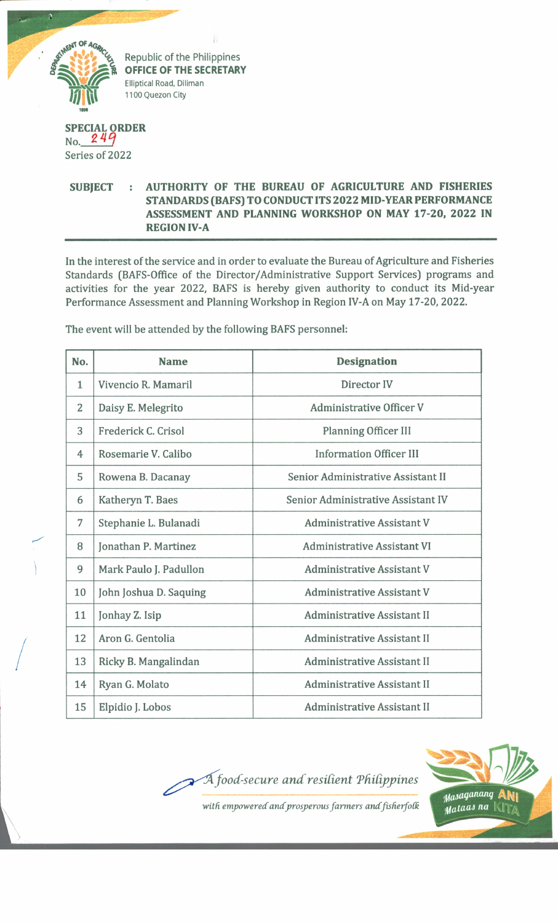

° FF,CE ° F ™ E SECRETAR **Elliptical Road, Diliman OFFICE OF THE SECRETARY 1100 Quezon City**

## **SPECIAL ORDER**  $No. 249$ Series of 2022

## **SUBJECT : AUTHORITY OF THE BUREAU OF AGRICULTURE AND FISHERIES STANDARDS (BAFS) TO CONDUCT ITS 2022 MID YEAR PERFORMANCE ASSESSMENT AND PLANNING WORKSHOP ON MAY 17-20, 2022 IN REGION IV-A**

In the interest of the service and in order to evaluate the Bureau of Agriculture and Fisheries Standards (BAFS-Office of the Director/Administrative Support Services) programs and activities for the year 2022, BAFS is hereby given authority to conduct its Mid-year Performance Assessment and Planning Workshop in Region IV-A on May 17-20, 2022.

The event will be attended by the following BAFS personnel:

| No.          | <b>Name</b>            | <b>Designation</b>                 |
|--------------|------------------------|------------------------------------|
| $\mathbf{1}$ | Vivencio R. Mamaril    | Director IV                        |
| 2            | Daisy E. Melegrito     | <b>Administrative Officer V</b>    |
| 3            | Frederick C. Crisol    | <b>Planning Officer III</b>        |
| 4            | Rosemarie V. Calibo    | <b>Information Officer III</b>     |
| 5            | Rowena B. Dacanay      | Senior Administrative Assistant II |
| 6            | Katheryn T. Baes       | Senior Administrative Assistant IV |
| 7            | Stephanie L. Bulanadi  | <b>Administrative Assistant V</b>  |
| 8            | Jonathan P. Martinez   | <b>Administrative Assistant VI</b> |
| 9            | Mark Paulo J. Padullon | <b>Administrative Assistant V</b>  |
| 10           | John Joshua D. Saquing | <b>Administrative Assistant V</b>  |
| 11           | Jonhay Z. Isip         | <b>Administrative Assistant II</b> |
| 12           | Aron G. Gentolia       | <b>Administrative Assistant II</b> |
| 13           | Ricky B. Mangalindan   | <b>Administrative Assistant II</b> |
| 14           | Ryan G. Molato         | <b>Administrative Assistant II</b> |
| 15           | Elpidio J. Lobos       | <b>Administrative Assistant II</b> |

*ood-secure and resident Tdidjypines with empowered and prosperous farmers and fisherfolk Masaganang*